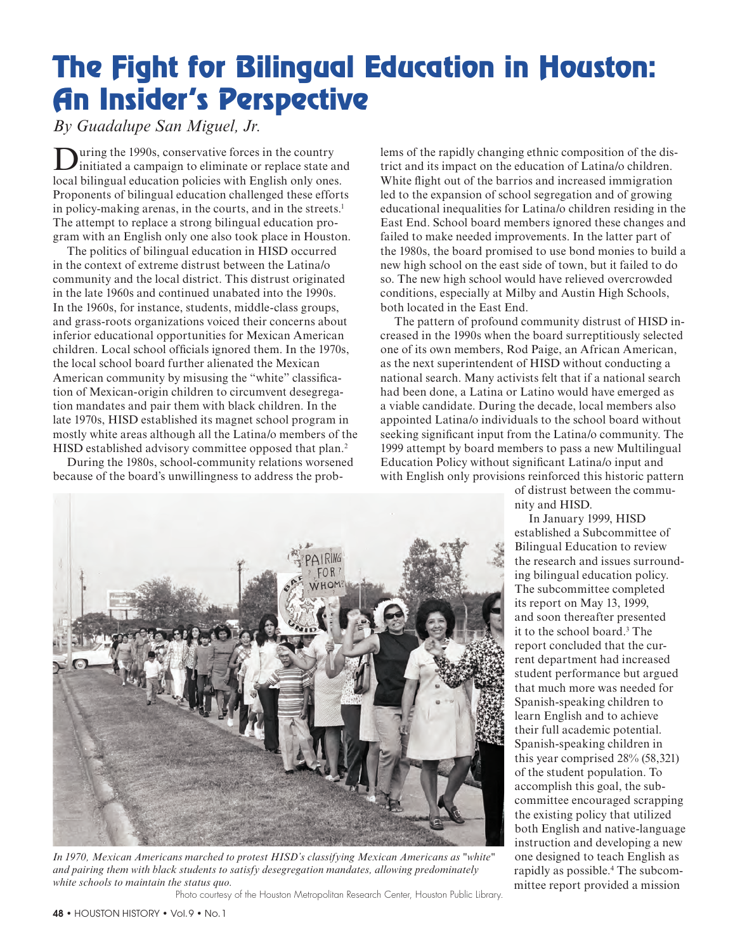## The Fight for Bilingual Education in Houston: An Insider's Perspective

*By Guadalupe San Miguel, Jr.*

**During the 1990s, conservative forces in the country** initiated a campaign to eliminate or replace state and local bilingual education policies with English only ones. Proponents of bilingual education challenged these efforts in policy-making arenas, in the courts, and in the streets.<sup>1</sup> The attempt to replace a strong bilingual education program with an English only one also took place in Houston.

The politics of bilingual education in HISD occurred in the context of extreme distrust between the Latina/o community and the local district. This distrust originated in the late 1960s and continued unabated into the 1990s. In the 1960s, for instance, students, middle-class groups, and grass-roots organizations voiced their concerns about inferior educational opportunities for Mexican American children. Local school officials ignored them. In the 1970s, the local school board further alienated the Mexican American community by misusing the "white" classification of Mexican-origin children to circumvent desegregation mandates and pair them with black children. In the late 1970s, HISD established its magnet school program in mostly white areas although all the Latina/o members of the HISD established advisory committee opposed that plan.<sup>2</sup>

During the 1980s, school-community relations worsened because of the board's unwillingness to address the problems of the rapidly changing ethnic composition of the district and its impact on the education of Latina/o children. White flight out of the barrios and increased immigration led to the expansion of school segregation and of growing educational inequalities for Latina/o children residing in the East End. School board members ignored these changes and failed to make needed improvements. In the latter part of the 1980s, the board promised to use bond monies to build a new high school on the east side of town, but it failed to do so. The new high school would have relieved overcrowded conditions, especially at Milby and Austin High Schools, both located in the East End.

The pattern of profound community distrust of HISD increased in the 1990s when the board surreptitiously selected one of its own members, Rod Paige, an African American, as the next superintendent of HISD without conducting a national search. Many activists felt that if a national search had been done, a Latina or Latino would have emerged as a viable candidate. During the decade, local members also appointed Latina/o individuals to the school board without seeking significant input from the Latina/o community. The 1999 attempt by board members to pass a new Multilingual Education Policy without significant Latina/o input and with English only provisions reinforced this historic pattern

of distrust between the community and HISD.

In January 1999, HISD established a Subcommittee of Bilingual Education to review the research and issues surrounding bilingual education policy. The subcommittee completed its report on May 13, 1999, and soon thereafter presented it to the school board.3 The report concluded that the current department had increased student performance but argued that much more was needed for Spanish-speaking children to learn English and to achieve their full academic potential. Spanish-speaking children in this year comprised 28% (58,321) of the student population. To accomplish this goal, the subcommittee encouraged scrapping the existing policy that utilized both English and native-language instruction and developing a new one designed to teach English as rapidly as possible.<sup>4</sup> The subcommittee report provided a mission



*and pairing them with black students to satisfy desegregation mandates, allowing predominately white schools to maintain the status quo.*

Photo courtesy of the Houston Metropolitan Research Center, Houston Public Library.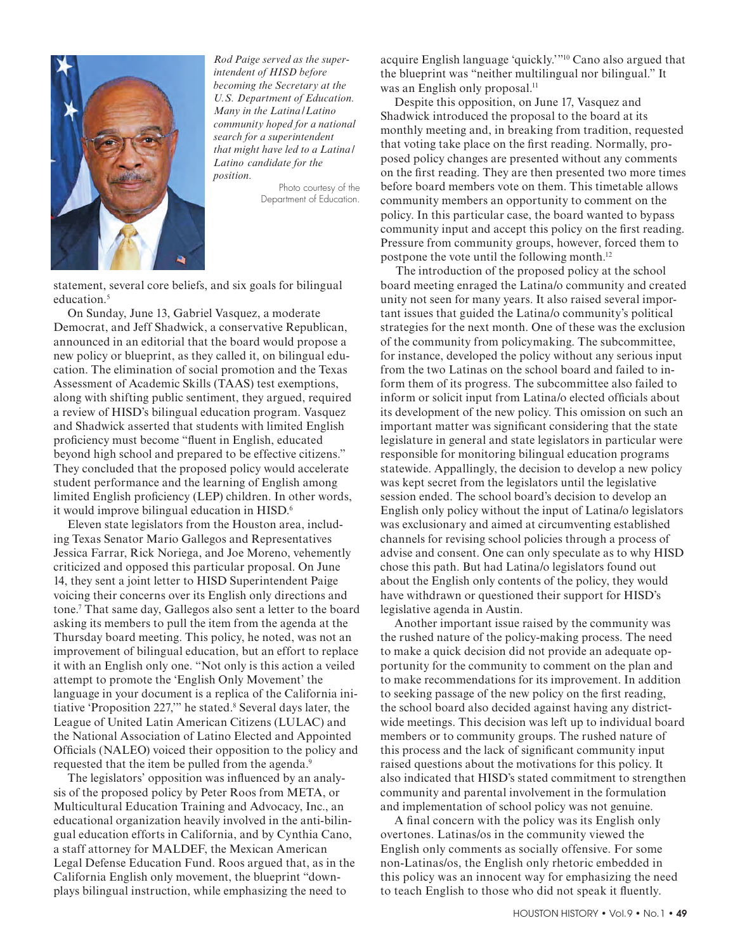

*Rod Paige served as the superintendent of HISD before becoming the Secretary at the U.S. Department of Education. Many in the Latina /Latino community hoped for a national search for a superintendent that might have led to a Latina / Latino candidate for the position.* 

> Photo courtesy of the Department of Education.

statement, several core beliefs, and six goals for bilingual education.<sup>5</sup>

On Sunday, June 13, Gabriel Vasquez, a moderate Democrat, and Jeff Shadwick, a conservative Republican, announced in an editorial that the board would propose a new policy or blueprint, as they called it, on bilingual education. The elimination of social promotion and the Texas Assessment of Academic Skills (TAAS) test exemptions, along with shifting public sentiment, they argued, required a review of HISD's bilingual education program. Vasquez and Shadwick asserted that students with limited English proficiency must become "fluent in English, educated beyond high school and prepared to be effective citizens." They concluded that the proposed policy would accelerate student performance and the learning of English among limited English proficiency (LEP) children. In other words, it would improve bilingual education in HISD.6

Eleven state legislators from the Houston area, including Texas Senator Mario Gallegos and Representatives Jessica Farrar, Rick Noriega, and Joe Moreno, vehemently criticized and opposed this particular proposal. On June 14, they sent a joint letter to HISD Superintendent Paige voicing their concerns over its English only directions and tone.7 That same day, Gallegos also sent a letter to the board asking its members to pull the item from the agenda at the Thursday board meeting. This policy, he noted, was not an improvement of bilingual education, but an effort to replace it with an English only one. "Not only is this action a veiled attempt to promote the 'English Only Movement' the language in your document is a replica of the California initiative 'Proposition 227," he stated.<sup>8</sup> Several days later, the League of United Latin American Citizens (LULAC) and the National Association of Latino Elected and Appointed Officials (NALEO) voiced their opposition to the policy and requested that the item be pulled from the agenda.<sup>9</sup>

The legislators' opposition was influenced by an analysis of the proposed policy by Peter Roos from META, or Multicultural Education Training and Advocacy, Inc., an educational organization heavily involved in the anti-bilingual education efforts in California, and by Cynthia Cano, a staff attorney for MALDEF, the Mexican American Legal Defense Education Fund. Roos argued that, as in the California English only movement, the blueprint "downplays bilingual instruction, while emphasizing the need to

acquire English language 'quickly.'"10 Cano also argued that the blueprint was "neither multilingual nor bilingual." It was an English only proposal.<sup>11</sup>

Despite this opposition, on June 17, Vasquez and Shadwick introduced the proposal to the board at its monthly meeting and, in breaking from tradition, requested that voting take place on the first reading. Normally, proposed policy changes are presented without any comments on the first reading. They are then presented two more times before board members vote on them. This timetable allows community members an opportunity to comment on the policy. In this particular case, the board wanted to bypass community input and accept this policy on the first reading. Pressure from community groups, however, forced them to postpone the vote until the following month.12

The introduction of the proposed policy at the school board meeting enraged the Latina/o community and created unity not seen for many years. It also raised several important issues that guided the Latina/o community's political strategies for the next month. One of these was the exclusion of the community from policymaking. The subcommittee, for instance, developed the policy without any serious input from the two Latinas on the school board and failed to inform them of its progress. The subcommittee also failed to inform or solicit input from Latina/o elected officials about its development of the new policy. This omission on such an important matter was significant considering that the state legislature in general and state legislators in particular were responsible for monitoring bilingual education programs statewide. Appallingly, the decision to develop a new policy was kept secret from the legislators until the legislative session ended. The school board's decision to develop an English only policy without the input of Latina/o legislators was exclusionary and aimed at circumventing established channels for revising school policies through a process of advise and consent. One can only speculate as to why HISD chose this path. But had Latina/o legislators found out about the English only contents of the policy, they would have withdrawn or questioned their support for HISD's legislative agenda in Austin.

Another important issue raised by the community was the rushed nature of the policy-making process. The need to make a quick decision did not provide an adequate opportunity for the community to comment on the plan and to make recommendations for its improvement. In addition to seeking passage of the new policy on the first reading, the school board also decided against having any districtwide meetings. This decision was left up to individual board members or to community groups. The rushed nature of this process and the lack of significant community input raised questions about the motivations for this policy. It also indicated that HISD's stated commitment to strengthen community and parental involvement in the formulation and implementation of school policy was not genuine.

A final concern with the policy was its English only overtones. Latinas/os in the community viewed the English only comments as socially offensive. For some non-Latinas/os, the English only rhetoric embedded in this policy was an innocent way for emphasizing the need to teach English to those who did not speak it fluently.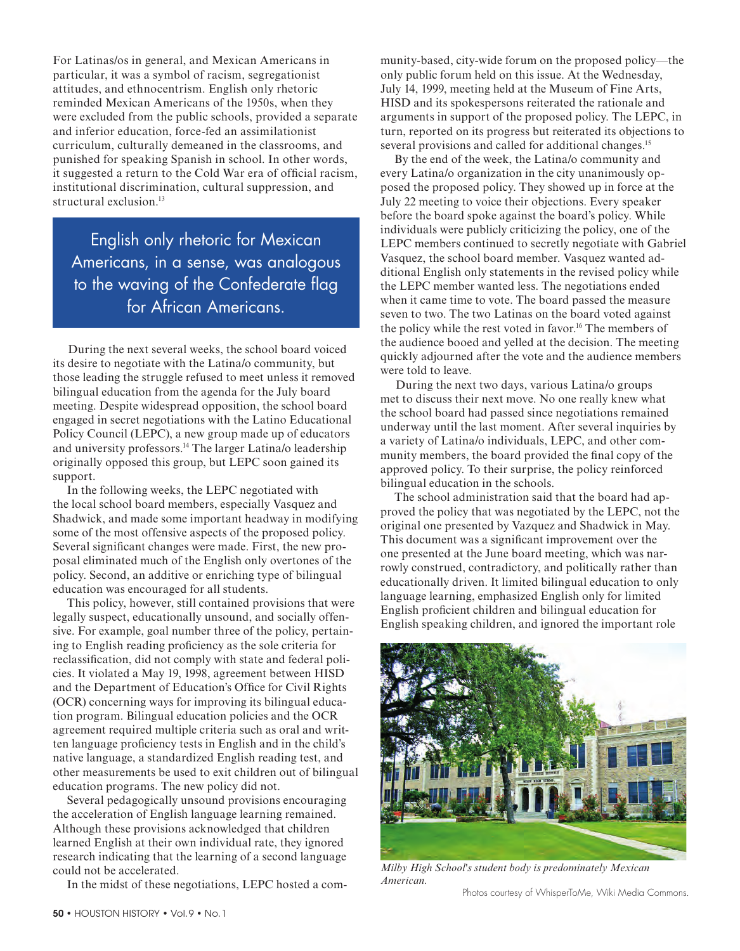For Latinas/os in general, and Mexican Americans in particular, it was a symbol of racism, segregationist attitudes, and ethnocentrism. English only rhetoric reminded Mexican Americans of the 1950s, when they were excluded from the public schools, provided a separate and inferior education, force-fed an assimilationist curriculum, culturally demeaned in the classrooms, and punished for speaking Spanish in school. In other words, it suggested a return to the Cold War era of official racism, institutional discrimination, cultural suppression, and structural exclusion.<sup>13</sup>

English only rhetoric for Mexican Americans, in a sense, was analogous to the waving of the Confederate flag for African Americans.

During the next several weeks, the school board voiced its desire to negotiate with the Latina/o community, but those leading the struggle refused to meet unless it removed bilingual education from the agenda for the July board meeting. Despite widespread opposition, the school board engaged in secret negotiations with the Latino Educational Policy Council (LEPC), a new group made up of educators and university professors.14 The larger Latina/o leadership originally opposed this group, but LEPC soon gained its support.

In the following weeks, the LEPC negotiated with the local school board members, especially Vasquez and Shadwick, and made some important headway in modifying some of the most offensive aspects of the proposed policy. Several significant changes were made. First, the new proposal eliminated much of the English only overtones of the policy. Second, an additive or enriching type of bilingual education was encouraged for all students.

This policy, however, still contained provisions that were legally suspect, educationally unsound, and socially offensive. For example, goal number three of the policy, pertaining to English reading proficiency as the sole criteria for reclassification, did not comply with state and federal policies. It violated a May 19, 1998, agreement between HISD and the Department of Education's Office for Civil Rights (OCR) concerning ways for improving its bilingual education program. Bilingual education policies and the OCR agreement required multiple criteria such as oral and written language proficiency tests in English and in the child's native language, a standardized English reading test, and other measurements be used to exit children out of bilingual education programs. The new policy did not.

Several pedagogically unsound provisions encouraging the acceleration of English language learning remained. Although these provisions acknowledged that children learned English at their own individual rate, they ignored research indicating that the learning of a second language could not be accelerated.

In the midst of these negotiations, LEPC hosted a com-

munity-based, city-wide forum on the proposed policy—the only public forum held on this issue. At the Wednesday, July 14, 1999, meeting held at the Museum of Fine Arts, HISD and its spokespersons reiterated the rationale and arguments in support of the proposed policy. The LEPC, in turn, reported on its progress but reiterated its objections to several provisions and called for additional changes.<sup>15</sup>

By the end of the week, the Latina/o community and every Latina/o organization in the city unanimously opposed the proposed policy. They showed up in force at the July 22 meeting to voice their objections. Every speaker before the board spoke against the board's policy. While individuals were publicly criticizing the policy, one of the LEPC members continued to secretly negotiate with Gabriel Vasquez, the school board member. Vasquez wanted additional English only statements in the revised policy while the LEPC member wanted less. The negotiations ended when it came time to vote. The board passed the measure seven to two. The two Latinas on the board voted against the policy while the rest voted in favor.16 The members of the audience booed and yelled at the decision. The meeting quickly adjourned after the vote and the audience members were told to leave.

During the next two days, various Latina/o groups met to discuss their next move. No one really knew what the school board had passed since negotiations remained underway until the last moment. After several inquiries by a variety of Latina/o individuals, LEPC, and other community members, the board provided the final copy of the approved policy. To their surprise, the policy reinforced bilingual education in the schools.

The school administration said that the board had approved the policy that was negotiated by the LEPC, not the original one presented by Vazquez and Shadwick in May. This document was a significant improvement over the one presented at the June board meeting, which was narrowly construed, contradictory, and politically rather than educationally driven. It limited bilingual education to only language learning, emphasized English only for limited English proficient children and bilingual education for English speaking children, and ignored the important role



*Milby High School's student body is predominately Mexican American.* 

Photos courtesy of WhisperToMe, Wiki Media Commons.